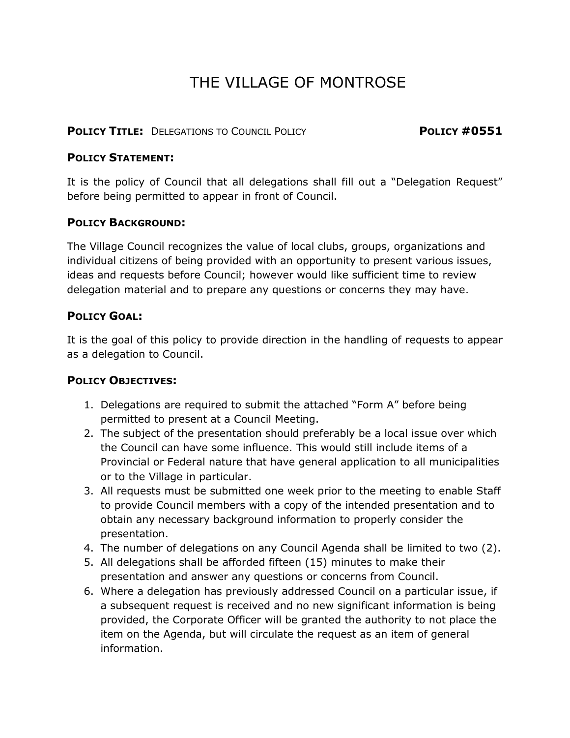# THE VILLAGE OF MONTROSE

#### **POLICY TITLE:** DELEGATIONS TO COUNCIL POLICY **POLICY #0551**

#### **POLICY STATEMENT:**

It is the policy of Council that all delegations shall fill out a "Delegation Request" before being permitted to appear in front of Council.

## **POLICY BACKGROUND:**

The Village Council recognizes the value of local clubs, groups, organizations and individual citizens of being provided with an opportunity to present various issues, ideas and requests before Council; however would like sufficient time to review delegation material and to prepare any questions or concerns they may have.

## **POLICY GOAL:**

It is the goal of this policy to provide direction in the handling of requests to appear as a delegation to Council.

#### **POLICY OBJECTIVES:**

- 1. Delegations are required to submit the attached "Form A" before being permitted to present at a Council Meeting.
- 2. The subject of the presentation should preferably be a local issue over which the Council can have some influence. This would still include items of a Provincial or Federal nature that have general application to all municipalities or to the Village in particular.
- 3. All requests must be submitted one week prior to the meeting to enable Staff to provide Council members with a copy of the intended presentation and to obtain any necessary background information to properly consider the presentation.
- 4. The number of delegations on any Council Agenda shall be limited to two (2).
- 5. All delegations shall be afforded fifteen (15) minutes to make their presentation and answer any questions or concerns from Council.
- 6. Where a delegation has previously addressed Council on a particular issue, if a subsequent request is received and no new significant information is being provided, the Corporate Officer will be granted the authority to not place the item on the Agenda, but will circulate the request as an item of general information.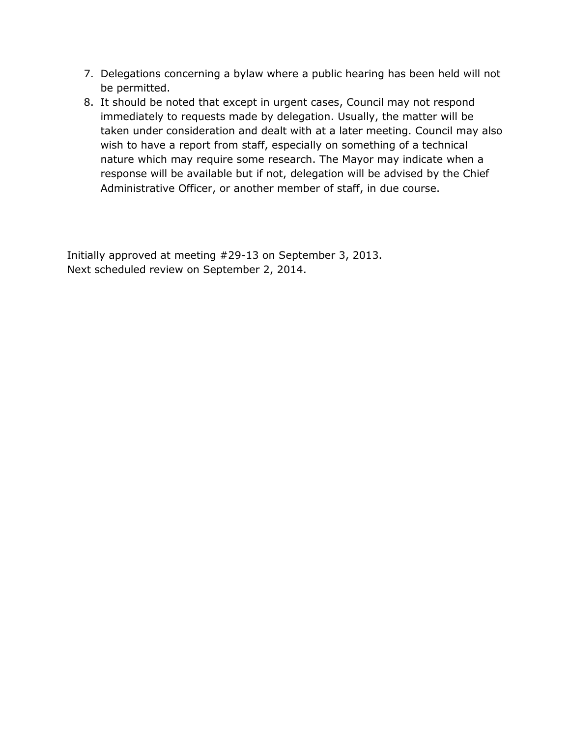- 7. Delegations concerning a bylaw where a public hearing has been held will not be permitted.
- 8. It should be noted that except in urgent cases, Council may not respond immediately to requests made by delegation. Usually, the matter will be taken under consideration and dealt with at a later meeting. Council may also wish to have a report from staff, especially on something of a technical nature which may require some research. The Mayor may indicate when a response will be available but if not, delegation will be advised by the Chief Administrative Officer, or another member of staff, in due course.

Initially approved at meeting #29-13 on September 3, 2013. Next scheduled review on September 2, 2014.